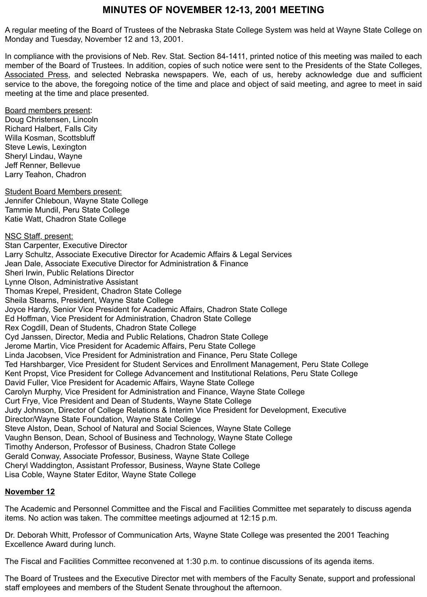# **MINUTES OF NOVEMBER 12-13, 2001 MEETING**

A regular meeting of the Board of Trustees of the Nebraska State College System was held at Wayne State College on Monday and Tuesday, November 12 and 13, 2001.

In compliance with the provisions of Neb. Rev. Stat. Section 84-1411, printed notice of this meeting was mailed to each member of the Board of Trustees. In addition, copies of such notice were sent to the Presidents of the State Colleges, Associated Press, and selected Nebraska newspapers. We, each of us, hereby acknowledge due and sufficient service to the above, the foregoing notice of the time and place and object of said meeting, and agree to meet in said meeting at the time and place presented.

Board members present: Doug Christensen, Lincoln Richard Halbert, Falls City Willa Kosman, Scottsbluff Steve Lewis, Lexington Sheryl Lindau, Wayne Jeff Renner, Bellevue Larry Teahon, Chadron

Student Board Members present: Jennifer Chleboun, Wayne State College Tammie Mundil, Peru State College Katie Watt, Chadron State College

NSC Staff, present: Stan Carpenter, Executive Director Larry Schultz, Associate Executive Director for Academic Affairs & Legal Services Jean Dale, Associate Executive Director for Administration & Finance Sheri Irwin, Public Relations Director Lynne Olson, Administrative Assistant Thomas Krepel, President, Chadron State College Sheila Stearns, President, Wayne State College Joyce Hardy, Senior Vice President for Academic Affairs, Chadron State College Ed Hoffman, Vice President for Administration, Chadron State College Rex Cogdill, Dean of Students, Chadron State College Cyd Janssen, Director, Media and Public Relations, Chadron State College Jerome Martin, Vice President for Academic Affairs, Peru State College Linda Jacobsen, Vice President for Administration and Finance, Peru State College Ted Harshbarger, Vice President for Student Services and Enrollment Management, Peru State College Kent Propst, Vice President for College Advancement and Institutional Relations, Peru State College David Fuller, Vice President for Academic Affairs, Wayne State College Carolyn Murphy, Vice President for Administration and Finance, Wayne State College Curt Frye, Vice President and Dean of Students, Wayne State College Judy Johnson, Director of College Relations & Interim Vice President for Development, Executive Director/Wayne State Foundation, Wayne State College Steve Alston, Dean, School of Natural and Social Sciences, Wayne State College Vaughn Benson, Dean, School of Business and Technology, Wayne State College Timothy Anderson, Professor of Business, Chadron State College Gerald Conway, Associate Professor, Business, Wayne State College Cheryl Waddington, Assistant Professor, Business, Wayne State College Lisa Coble, Wayne Stater Editor, Wayne State College

### **November 12**

The Academic and Personnel Committee and the Fiscal and Facilities Committee met separately to discuss agenda items. No action was taken. The committee meetings adjourned at 12:15 p.m.

Dr. Deborah Whitt, Professor of Communication Arts, Wayne State College was presented the 2001 Teaching Excellence Award during lunch.

The Fiscal and Facilities Committee reconvened at 1:30 p.m. to continue discussions of its agenda items.

The Board of Trustees and the Executive Director met with members of the Faculty Senate, support and professional staff employees and members of the Student Senate throughout the afternoon.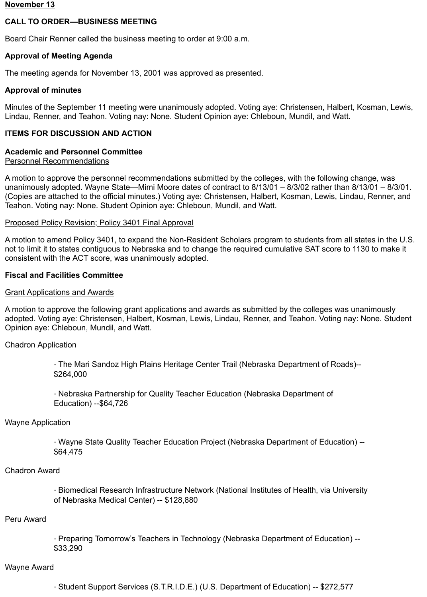#### **November 13**

### **CALL TO ORDER—BUSINESS MEETING**

Board Chair Renner called the business meeting to order at 9:00 a.m.

#### **Approval of Meeting Agenda**

The meeting agenda for November 13, 2001 was approved as presented.

#### **Approval of minutes**

Minutes of the September 11 meeting were unanimously adopted. Voting aye: Christensen, Halbert, Kosman, Lewis, Lindau, Renner, and Teahon. Voting nay: None. Student Opinion aye: Chleboun, Mundil, and Watt.

### **ITEMS FOR DISCUSSION AND ACTION**

### **Academic and Personnel Committee**

#### Personnel Recommendations

A motion to approve the personnel recommendations submitted by the colleges, with the following change, was unanimously adopted. Wayne State—Mimi Moore dates of contract to 8/13/01 – 8/3/02 rather than 8/13/01 – 8/3/01. (Copies are attached to the official minutes.) Voting aye: Christensen, Halbert, Kosman, Lewis, Lindau, Renner, and Teahon. Voting nay: None. Student Opinion aye: Chleboun, Mundil, and Watt.

#### Proposed Policy Revision; Policy 3401 Final Approval

A motion to amend Policy 3401, to expand the Non-Resident Scholars program to students from all states in the U.S. not to limit it to states contiguous to Nebraska and to change the required cumulative SAT score to 1130 to make it consistent with the ACT score, was unanimously adopted.

### **Fiscal and Facilities Committee**

#### Grant Applications and Awards

A motion to approve the following grant applications and awards as submitted by the colleges was unanimously adopted. Voting aye: Christensen, Halbert, Kosman, Lewis, Lindau, Renner, and Teahon. Voting nay: None. Student Opinion aye: Chleboun, Mundil, and Watt.

Chadron Application

· The Mari Sandoz High Plains Heritage Center Trail (Nebraska Department of Roads)-- \$264,000

· Nebraska Partnership for Quality Teacher Education (Nebraska Department of Education) --\$64,726

#### Wayne Application

· Wayne State Quality Teacher Education Project (Nebraska Department of Education) -- \$64,475

#### Chadron Award

· Biomedical Research Infrastructure Network (National Institutes of Health, via University of Nebraska Medical Center) -- \$128,880

#### Peru Award

· Preparing Tomorrow's Teachers in Technology (Nebraska Department of Education) -- \$33,290

#### Wayne Award

· Student Support Services (S.T.R.I.D.E.) (U.S. Department of Education) -- \$272,577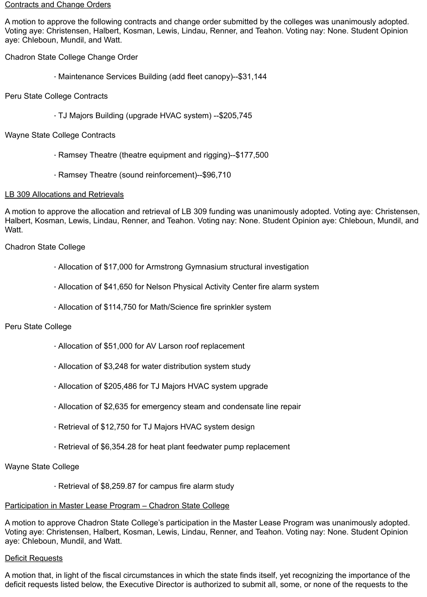#### Contracts and Change Orders

A motion to approve the following contracts and change order submitted by the colleges was unanimously adopted. Voting aye: Christensen, Halbert, Kosman, Lewis, Lindau, Renner, and Teahon. Voting nay: None. Student Opinion aye: Chleboun, Mundil, and Watt.

Chadron State College Change Order

- · Maintenance Services Building (add fleet canopy)--\$31,144
- Peru State College Contracts
	- · TJ Majors Building (upgrade HVAC system) --\$205,745

### Wayne State College Contracts

- · Ramsey Theatre (theatre equipment and rigging)--\$177,500
- · Ramsey Theatre (sound reinforcement)--\$96,710

### LB 309 Allocations and Retrievals

A motion to approve the allocation and retrieval of LB 309 funding was unanimously adopted. Voting aye: Christensen, Halbert, Kosman, Lewis, Lindau, Renner, and Teahon. Voting nay: None. Student Opinion aye: Chleboun, Mundil, and Watt.

Chadron State College

- · Allocation of \$17,000 for Armstrong Gymnasium structural investigation
- · Allocation of \$41,650 for Nelson Physical Activity Center fire alarm system
- · Allocation of \$114,750 for Math/Science fire sprinkler system

### Peru State College

- · Allocation of \$51,000 for AV Larson roof replacement
- · Allocation of \$3,248 for water distribution system study
- · Allocation of \$205,486 for TJ Majors HVAC system upgrade
- · Allocation of \$2,635 for emergency steam and condensate line repair
- · Retrieval of \$12,750 for TJ Majors HVAC system design
- · Retrieval of \$6,354.28 for heat plant feedwater pump replacement

### Wayne State College

· Retrieval of \$8,259.87 for campus fire alarm study

### Participation in Master Lease Program – Chadron State College

A motion to approve Chadron State College's participation in the Master Lease Program was unanimously adopted. Voting aye: Christensen, Halbert, Kosman, Lewis, Lindau, Renner, and Teahon. Voting nay: None. Student Opinion aye: Chleboun, Mundil, and Watt.

### Deficit Requests

A motion that, in light of the fiscal circumstances in which the state finds itself, yet recognizing the importance of the deficit requests listed below, the Executive Director is authorized to submit all, some, or none of the requests to the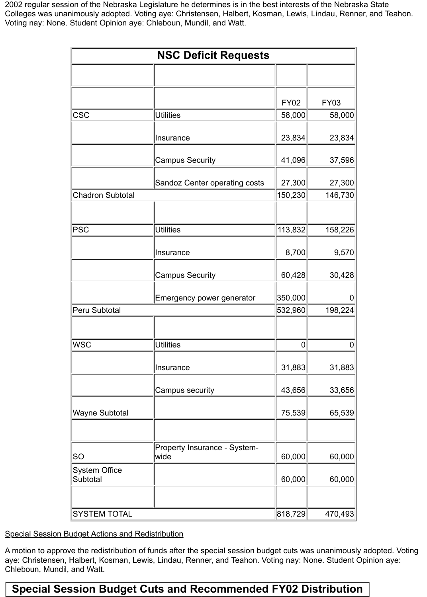2002 regular session of the Nebraska Legislature he determines is in the best interests of the Nebraska State Colleges was unanimously adopted. Voting aye: Christensen, Halbert, Kosman, Lewis, Lindau, Renner, and Teahon. Voting nay: None. Student Opinion aye: Chleboun, Mundil, and Watt.

| <b>NSC Deficit Requests</b> |                                      |                |             |  |  |
|-----------------------------|--------------------------------------|----------------|-------------|--|--|
|                             |                                      |                |             |  |  |
|                             |                                      | <b>FY02</b>    | <b>FY03</b> |  |  |
| $ {\csc}$                   | <b>Utilities</b>                     | 58,000         | 58,000      |  |  |
|                             | Insurance                            | 23,834         | 23,834      |  |  |
|                             | <b>Campus Security</b>               | 41,096         | 37,596      |  |  |
|                             | Sandoz Center operating costs        | 27,300         | 27,300      |  |  |
| Chadron Subtotal            |                                      | 150,230        | 146,730     |  |  |
|                             |                                      |                |             |  |  |
| PSC                         | <b>Utilities</b>                     | 113,832        | 158,226     |  |  |
|                             | Insurance                            | 8,700          | 9,570       |  |  |
|                             | <b>Campus Security</b>               | 60,428         | 30,428      |  |  |
|                             | Emergency power generator            | 350,000        | O           |  |  |
| Peru Subtotal               |                                      | 532,960        | 198,224     |  |  |
|                             |                                      |                |             |  |  |
| WSC                         | Utilities                            | $\overline{0}$ | 0           |  |  |
|                             | Insurance                            | 31,883         | 31,883      |  |  |
|                             | Campus security                      | 43,656         | 33,656      |  |  |
| Wayne Subtotal              |                                      | 75,539         | 65,539      |  |  |
|                             |                                      |                |             |  |  |
| SO                          | Property Insurance - System-<br>wide | 60,000         | 60,000      |  |  |
| System Office<br>Subtotal   |                                      | 60,000         | 60,000      |  |  |
|                             |                                      |                |             |  |  |
| <b>SYSTEM TOTAL</b>         |                                      | 818,729        | 470,493     |  |  |

Special Session Budget Actions and Redistribution

A motion to approve the redistribution of funds after the special session budget cuts was unanimously adopted. Voting aye: Christensen, Halbert, Kosman, Lewis, Lindau, Renner, and Teahon. Voting nay: None. Student Opinion aye: Chleboun, Mundil, and Watt.

# **Special Session Budget Cuts and Recommended FY02 Distribution**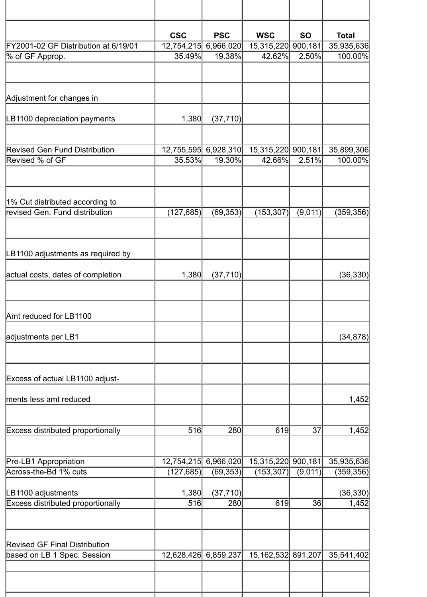|                                                                     | <b>CSC</b>   | <b>PSC</b>           | <b>WSC</b>            | <b>SO</b> | <b>Total</b> |
|---------------------------------------------------------------------|--------------|----------------------|-----------------------|-----------|--------------|
| FY2001-02 GF Distribution at 6/19/01                                | 12,754,215   | 6,966,020            | 15,315,220            | 900,181   | 35,935,636   |
| % of GF Approp.                                                     | 35.49%       | 19.38%               | 42.62%                | 2.50%     | 100.00%      |
| Adjustment for changes in                                           |              |                      |                       |           |              |
| LB1100 depreciation payments                                        | 1,380        | (37, 710)            |                       |           |              |
| <b>Revised Gen Fund Distribution</b>                                |              | 12,755,595 6,928,310 | 15,315,220 900,181    |           | 35,899,306   |
| Revised % of GF                                                     | 35.53%       | 19.30%               | 42.66%                | 2.51%     | 100.00%      |
| 1% Cut distributed according to                                     |              |                      |                       |           |              |
| revised Gen. Fund distribution                                      | (127, 685)   | (69, 353)            | (153, 307)            | (9,011)   | (359, 356)   |
| LB1100 adjustments as required by                                   |              |                      |                       |           |              |
| actual costs, dates of completion                                   | 1,380        | (37, 710)            |                       |           | (36, 330)    |
| Amt reduced for LB1100                                              |              |                      |                       |           |              |
| adjustments per LB1                                                 |              |                      |                       |           | (34, 878)    |
| Excess of actual LB1100 adjust-                                     |              |                      |                       |           |              |
| ments less amt reduced                                              |              |                      |                       |           | 1,452        |
| <b>Excess distributed proportionally</b>                            | 516          | 280                  | 619                   | 37        | 1,452        |
| Pre-LB1 Appropriation                                               |              | 12,754,215 6,966,020 | 15,315,220 900,181    |           | 35,935,636   |
| Across-the-Bd 1% cuts                                               | (127, 685)   | (69, 353)            | (153, 307)            | (9,011)   | (359, 356)   |
| LB1100 adjustments<br><b>Excess distributed proportionally</b>      | 1,380<br>516 | (37, 710)<br>280     | 619                   | 36        | (36, 330)    |
|                                                                     |              |                      |                       |           | 1,452        |
| <b>Revised GF Final Distribution</b><br>based on LB 1 Spec. Session |              | 12,628,426 6,859,237 | 15, 162, 532 891, 207 |           | 35,541,402   |
|                                                                     |              |                      |                       |           |              |
|                                                                     |              |                      |                       |           |              |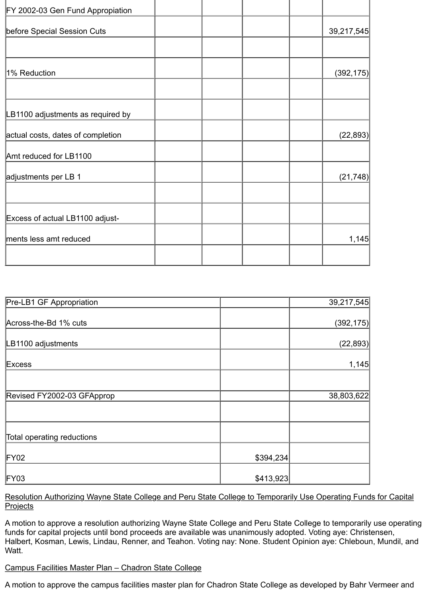| FY 2002-03 Gen Fund Appropiation  |            |
|-----------------------------------|------------|
| before Special Session Cuts       | 39,217,545 |
|                                   |            |
| 1% Reduction                      | (392, 175) |
|                                   |            |
| LB1100 adjustments as required by |            |
| actual costs, dates of completion | (22, 893)  |
| Amt reduced for LB1100            |            |
| adjustments per LB 1              | (21, 748)  |
| Excess of actual LB1100 adjust-   |            |
| ments less amt reduced            | 1,145      |
|                                   |            |

| Pre-LB1 GF Appropriation   |           | 39,217,545 |
|----------------------------|-----------|------------|
| Across-the-Bd 1% cuts      |           | (392, 175) |
| LB1100 adjustments         |           | (22, 893)  |
| Excess                     |           | 1,145      |
|                            |           |            |
| Revised FY2002-03 GFApprop |           | 38,803,622 |
|                            |           |            |
| Total operating reductions |           |            |
| FY02                       | \$394,234 |            |
| FY03                       | \$413,923 |            |

Resolution Authorizing Wayne State College and Peru State College to Temporarily Use Operating Funds for Capital **Projects** 

A motion to approve a resolution authorizing Wayne State College and Peru State College to temporarily use operating funds for capital projects until bond proceeds are available was unanimously adopted. Voting aye: Christensen, Halbert, Kosman, Lewis, Lindau, Renner, and Teahon. Voting nay: None. Student Opinion aye: Chleboun, Mundil, and Watt.

### Campus Facilities Master Plan – Chadron State College

A motion to approve the campus facilities master plan for Chadron State College as developed by Bahr Vermeer and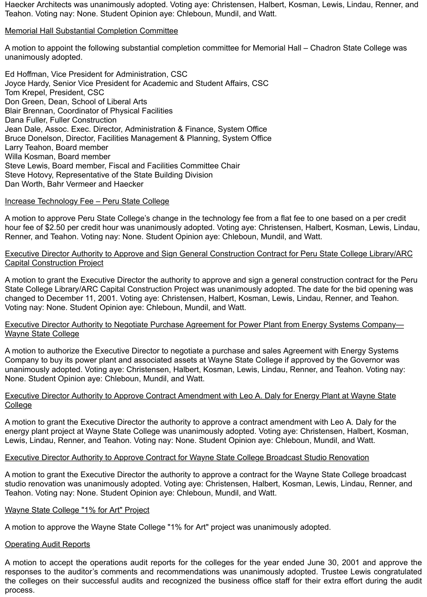Haecker Architects was unanimously adopted. Voting aye: Christensen, Halbert, Kosman, Lewis, Lindau, Renner, and Teahon. Voting nay: None. Student Opinion aye: Chleboun, Mundil, and Watt.

### Memorial Hall Substantial Completion Committee

A motion to appoint the following substantial completion committee for Memorial Hall – Chadron State College was unanimously adopted.

Ed Hoffman, Vice President for Administration, CSC Joyce Hardy, Senior Vice President for Academic and Student Affairs, CSC Tom Krepel, President, CSC Don Green, Dean, School of Liberal Arts Blair Brennan, Coordinator of Physical Facilities Dana Fuller, Fuller Construction Jean Dale, Assoc. Exec. Director, Administration & Finance, System Office Bruce Donelson, Director, Facilities Management & Planning, System Office Larry Teahon, Board member Willa Kosman, Board member Steve Lewis, Board member, Fiscal and Facilities Committee Chair Steve Hotovy, Representative of the State Building Division Dan Worth, Bahr Vermeer and Haecker

#### Increase Technology Fee – Peru State College

A motion to approve Peru State College's change in the technology fee from a flat fee to one based on a per credit hour fee of \$2.50 per credit hour was unanimously adopted. Voting aye: Christensen, Halbert, Kosman, Lewis, Lindau, Renner, and Teahon. Voting nay: None. Student Opinion aye: Chleboun, Mundil, and Watt.

### Executive Director Authority to Approve and Sign General Construction Contract for Peru State College Library/ARC Capital Construction Project

A motion to grant the Executive Director the authority to approve and sign a general construction contract for the Peru State College Library/ARC Capital Construction Project was unanimously adopted. The date for the bid opening was changed to December 11, 2001. Voting aye: Christensen, Halbert, Kosman, Lewis, Lindau, Renner, and Teahon. Voting nay: None. Student Opinion aye: Chleboun, Mundil, and Watt.

#### Executive Director Authority to Negotiate Purchase Agreement for Power Plant from Energy Systems Company— Wayne State College

A motion to authorize the Executive Director to negotiate a purchase and sales Agreement with Energy Systems Company to buy its power plant and associated assets at Wayne State College if approved by the Governor was unanimously adopted. Voting aye: Christensen, Halbert, Kosman, Lewis, Lindau, Renner, and Teahon. Voting nay: None. Student Opinion aye: Chleboun, Mundil, and Watt.

### Executive Director Authority to Approve Contract Amendment with Leo A. Daly for Energy Plant at Wayne State College

A motion to grant the Executive Director the authority to approve a contract amendment with Leo A. Daly for the energy plant project at Wayne State College was unanimously adopted. Voting aye: Christensen, Halbert, Kosman, Lewis, Lindau, Renner, and Teahon. Voting nay: None. Student Opinion aye: Chleboun, Mundil, and Watt.

### Executive Director Authority to Approve Contract for Wayne State College Broadcast Studio Renovation

A motion to grant the Executive Director the authority to approve a contract for the Wayne State College broadcast studio renovation was unanimously adopted. Voting aye: Christensen, Halbert, Kosman, Lewis, Lindau, Renner, and Teahon. Voting nay: None. Student Opinion aye: Chleboun, Mundil, and Watt.

#### Wayne State College "1% for Art" Project

A motion to approve the Wayne State College "1% for Art" project was unanimously adopted.

### **Operating Audit Reports**

A motion to accept the operations audit reports for the colleges for the year ended June 30, 2001 and approve the responses to the auditor's comments and recommendations was unanimously adopted. Trustee Lewis congratulated the colleges on their successful audits and recognized the business office staff for their extra effort during the audit process.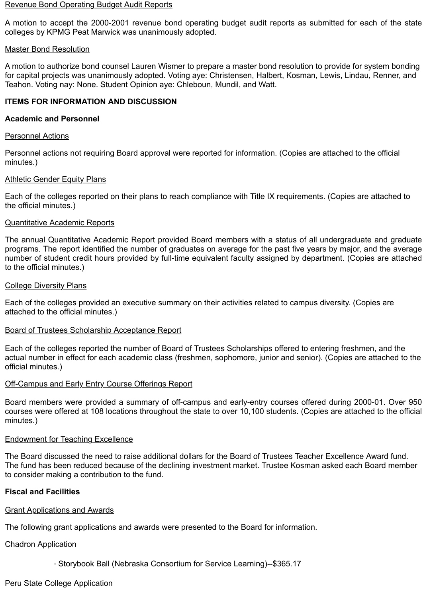#### Revenue Bond Operating Budget Audit Reports

A motion to accept the 2000-2001 revenue bond operating budget audit reports as submitted for each of the state colleges by KPMG Peat Marwick was unanimously adopted.

#### Master Bond Resolution

A motion to authorize bond counsel Lauren Wismer to prepare a master bond resolution to provide for system bonding for capital projects was unanimously adopted. Voting aye: Christensen, Halbert, Kosman, Lewis, Lindau, Renner, and Teahon. Voting nay: None. Student Opinion aye: Chleboun, Mundil, and Watt.

### **ITEMS FOR INFORMATION AND DISCUSSION**

### **Academic and Personnel**

#### Personnel Actions

Personnel actions not requiring Board approval were reported for information. (Copies are attached to the official minutes.)

#### Athletic Gender Equity Plans

Each of the colleges reported on their plans to reach compliance with Title IX requirements. (Copies are attached to the official minutes.)

#### Quantitative Academic Reports

The annual Quantitative Academic Report provided Board members with a status of all undergraduate and graduate programs. The report identified the number of graduates on average for the past five years by major, and the average number of student credit hours provided by full-time equivalent faculty assigned by department. (Copies are attached to the official minutes.)

#### College Diversity Plans

Each of the colleges provided an executive summary on their activities related to campus diversity. (Copies are attached to the official minutes.)

#### Board of Trustees Scholarship Acceptance Report

Each of the colleges reported the number of Board of Trustees Scholarships offered to entering freshmen, and the actual number in effect for each academic class (freshmen, sophomore, junior and senior). (Copies are attached to the official minutes.)

#### Off-Campus and Early Entry Course Offerings Report

Board members were provided a summary of off-campus and early-entry courses offered during 2000-01. Over 950 courses were offered at 108 locations throughout the state to over 10,100 students. (Copies are attached to the official minutes.)

#### Endowment for Teaching Excellence

The Board discussed the need to raise additional dollars for the Board of Trustees Teacher Excellence Award fund. The fund has been reduced because of the declining investment market. Trustee Kosman asked each Board member to consider making a contribution to the fund.

### **Fiscal and Facilities**

### Grant Applications and Awards

The following grant applications and awards were presented to the Board for information.

Chadron Application

· Storybook Ball (Nebraska Consortium for Service Learning)--\$365.17

## Peru State College Application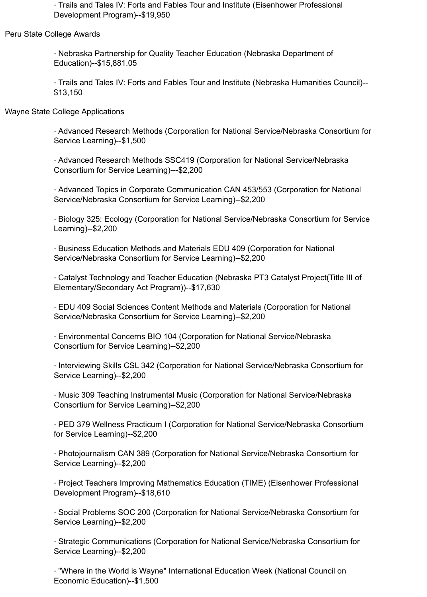· Trails and Tales IV: Forts and Fables Tour and Institute (Eisenhower Professional Development Program)--\$19,950

Peru State College Awards

· Nebraska Partnership for Quality Teacher Education (Nebraska Department of Education)--\$15,881.05

· Trails and Tales IV: Forts and Fables Tour and Institute (Nebraska Humanities Council)-- \$13,150

Wayne State College Applications

· Advanced Research Methods (Corporation for National Service/Nebraska Consortium for Service Learning)--\$1,500

· Advanced Research Methods SSC419 (Corporation for National Service/Nebraska Consortium for Service Learning)---\$2,200

· Advanced Topics in Corporate Communication CAN 453/553 (Corporation for National Service/Nebraska Consortium for Service Learning)--\$2,200

· Biology 325: Ecology (Corporation for National Service/Nebraska Consortium for Service Learning)--\$2,200

· Business Education Methods and Materials EDU 409 (Corporation for National Service/Nebraska Consortium for Service Learning)--\$2,200

· Catalyst Technology and Teacher Education (Nebraska PT3 Catalyst Project(Title III of Elementary/Secondary Act Program))--\$17,630

· EDU 409 Social Sciences Content Methods and Materials (Corporation for National Service/Nebraska Consortium for Service Learning)--\$2,200

· Environmental Concerns BIO 104 (Corporation for National Service/Nebraska Consortium for Service Learning)--\$2,200

· Interviewing Skills CSL 342 (Corporation for National Service/Nebraska Consortium for Service Learning)--\$2,200

· Music 309 Teaching Instrumental Music (Corporation for National Service/Nebraska Consortium for Service Learning)--\$2,200

· PED 379 Wellness Practicum I (Corporation for National Service/Nebraska Consortium for Service Learning)--\$2,200

· Photojournalism CAN 389 (Corporation for National Service/Nebraska Consortium for Service Learning)--\$2,200

· Project Teachers Improving Mathematics Education (TIME) (Eisenhower Professional Development Program)--\$18,610

· Social Problems SOC 200 (Corporation for National Service/Nebraska Consortium for Service Learning)--\$2,200

· Strategic Communications (Corporation for National Service/Nebraska Consortium for Service Learning)--\$2,200

· "Where in the World is Wayne" International Education Week (National Council on Economic Education)--\$1,500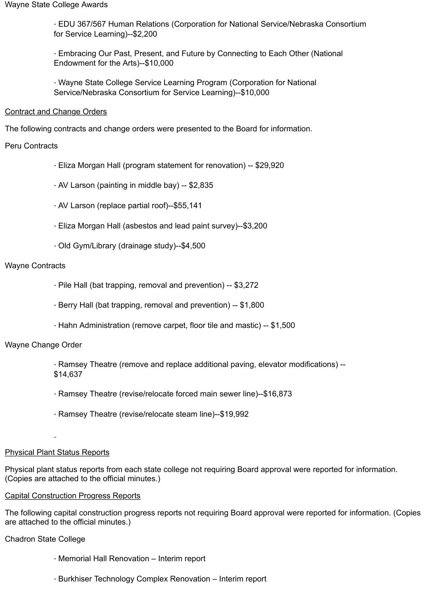· EDU 367/567 Human Relations (Corporation for National Service/Nebraska Consortium for Service Learning)--\$2,200

· Embracing Our Past, Present, and Future by Connecting to Each Other (National Endowment for the Arts)--\$10,000

· Wayne State College Service Learning Program (Corporation for National Service/Nebraska Consortium for Service Learning)--\$10,000

### Contract and Change Orders

The following contracts and change orders were presented to the Board for information.

### Peru Contracts

- · Eliza Morgan Hall (program statement for renovation) -- \$29,920
- · AV Larson (painting in middle bay) -- \$2,835
- · AV Larson (replace partial roof)--\$55,141
- · Eliza Morgan Hall (asbestos and lead paint survey)--\$3,200
- · Old Gym/Library (drainage study)--\$4,500

### Wayne Contracts

- · Pile Hall (bat trapping, removal and prevention) -- \$3,272
- · Berry Hall (bat trapping, removal and prevention) -- \$1,800
- · Hahn Administration (remove carpet, floor tile and mastic) -- \$1,500

### Wayne Change Order

- · Ramsey Theatre (remove and replace additional paving, elevator modifications) -- \$14,637
- · Ramsey Theatre (revise/relocate forced main sewer line)--\$16,873
- · Ramsey Theatre (revise/relocate steam line)--\$19,992

### Physical Plant Status Reports

Physical plant status reports from each state college not requiring Board approval were reported for information. (Copies are attached to the official minutes.)

### Capital Construction Progress Reports

The following capital construction progress reports not requiring Board approval were reported for information. (Copies are attached to the official minutes.)

Chadron State College

- · Memorial Hall Renovation Interim report
- · Burkhiser Technology Complex Renovation Interim report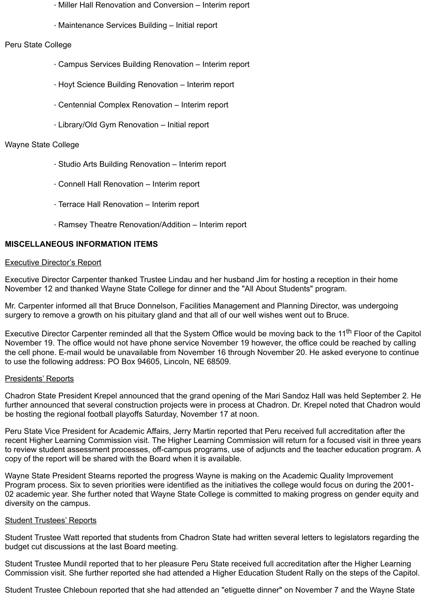- · Miller Hall Renovation and Conversion Interim report
- · Maintenance Services Building Initial report

### Peru State College

- · Campus Services Building Renovation Interim report
- · Hoyt Science Building Renovation Interim report
- · Centennial Complex Renovation Interim report
- · Library/Old Gym Renovation Initial report

### Wayne State College

- · Studio Arts Building Renovation Interim report
- · Connell Hall Renovation Interim report
- · Terrace Hall Renovation Interim report
- · Ramsey Theatre Renovation/Addition Interim report

### **MISCELLANEOUS INFORMATION ITEMS**

#### Executive Director's Report

Executive Director Carpenter thanked Trustee Lindau and her husband Jim for hosting a reception in their home November 12 and thanked Wayne State College for dinner and the "All About Students" program.

Mr. Carpenter informed all that Bruce Donnelson, Facilities Management and Planning Director, was undergoing surgery to remove a growth on his pituitary gland and that all of our well wishes went out to Bruce.

Executive Director Carpenter reminded all that the System Office would be moving back to the 11<sup>th</sup> Floor of the Capitol November 19. The office would not have phone service November 19 however, the office could be reached by calling the cell phone. E-mail would be unavailable from November 16 through November 20. He asked everyone to continue to use the following address: PO Box 94605, Lincoln, NE 68509.

### Presidents' Reports

Chadron State President Krepel announced that the grand opening of the Mari Sandoz Hall was held September 2. He further announced that several construction projects were in process at Chadron. Dr. Krepel noted that Chadron would be hosting the regional football playoffs Saturday, November 17 at noon.

Peru State Vice President for Academic Affairs, Jerry Martin reported that Peru received full accreditation after the recent Higher Learning Commission visit. The Higher Learning Commission will return for a focused visit in three years to review student assessment processes, off-campus programs, use of adjuncts and the teacher education program. A copy of the report will be shared with the Board when it is available.

Wayne State President Stearns reported the progress Wayne is making on the Academic Quality Improvement Program process. Six to seven priorities were identified as the initiatives the college would focus on during the 2001- 02 academic year. She further noted that Wayne State College is committed to making progress on gender equity and diversity on the campus.

### **Student Trustees' Reports**

Student Trustee Watt reported that students from Chadron State had written several letters to legislators regarding the budget cut discussions at the last Board meeting.

Student Trustee Mundil reported that to her pleasure Peru State received full accreditation after the Higher Learning Commission visit. She further reported she had attended a Higher Education Student Rally on the steps of the Capitol.

Student Trustee Chleboun reported that she had attended an "etiguette dinner" on November 7 and the Wayne State